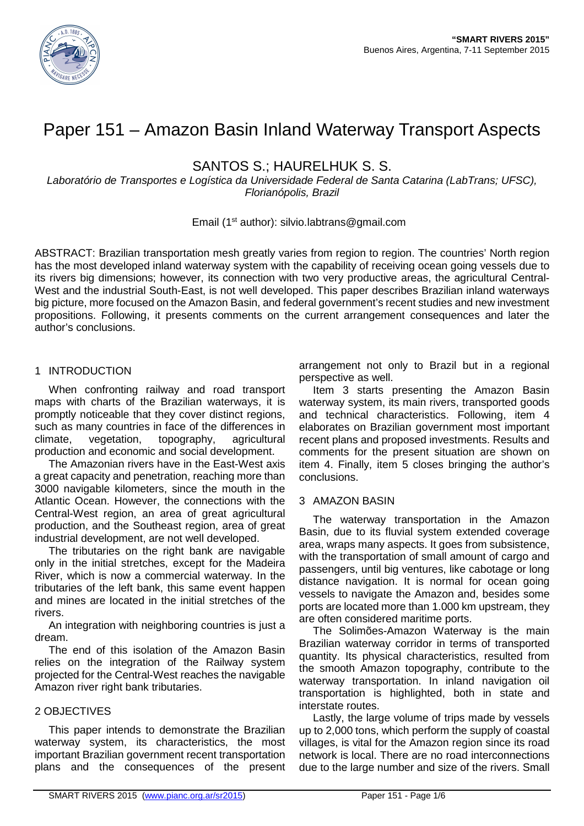

# Paper 151 – Amazon Basin Inland Waterway Transport Aspects

SANTOS S.; HAURELHUK S. S.

Laboratório de Transportes e Logística da Universidade Federal de Santa Catarina (LabTrans; UFSC), Florianópolis, Brazil

## Email (1st author): silvio.labtrans@gmail.com

ABSTRACT: Brazilian transportation mesh greatly varies from region to region. The countries' North region has the most developed inland waterway system with the capability of receiving ocean going vessels due to its rivers big dimensions; however, its connection with two very productive areas, the agricultural Central-West and the industrial South-East, is not well developed. This paper describes Brazilian inland waterways big picture, more focused on the Amazon Basin, and federal government's recent studies and new investment propositions. Following, it presents comments on the current arrangement consequences and later the author's conclusions.

## 1 INTRODUCTION

When confronting railway and road transport maps with charts of the Brazilian waterways, it is promptly noticeable that they cover distinct regions, such as many countries in face of the differences in climate, vegetation, topography, agricultural production and economic and social development.

The Amazonian rivers have in the East-West axis a great capacity and penetration, reaching more than 3000 navigable kilometers, since the mouth in the Atlantic Ocean. However, the connections with the Central-West region, an area of great agricultural production, and the Southeast region, area of great industrial development, are not well developed.

The tributaries on the right bank are navigable only in the initial stretches, except for the Madeira River, which is now a commercial waterway. In the tributaries of the left bank, this same event happen and mines are located in the initial stretches of the rivers.

An integration with neighboring countries is just a dream.

The end of this isolation of the Amazon Basin relies on the integration of the Railway system projected for the Central-West reaches the navigable Amazon river right bank tributaries.

# 2 OBJECTIVES

This paper intends to demonstrate the Brazilian waterway system, its characteristics, the most important Brazilian government recent transportation plans and the consequences of the present

arrangement not only to Brazil but in a regional perspective as well.

Item 3 starts presenting the Amazon Basin waterway system, its main rivers, transported goods and technical characteristics. Following, item 4 elaborates on Brazilian government most important recent plans and proposed investments. Results and comments for the present situation are shown on item 4. Finally, item 5 closes bringing the author's conclusions.

## 3 AMAZON BASIN

The waterway transportation in the Amazon Basin, due to its fluvial system extended coverage area, wraps many aspects. It goes from subsistence, with the transportation of small amount of cargo and passengers, until big ventures, like cabotage or long distance navigation. It is normal for ocean going vessels to navigate the Amazon and, besides some ports are located more than 1.000 km upstream, they are often considered maritime ports.

The Solimões-Amazon Waterway is the main Brazilian waterway corridor in terms of transported quantity. Its physical characteristics, resulted from the smooth Amazon topography, contribute to the waterway transportation. In inland navigation oil transportation is highlighted, both in state and interstate routes.

Lastly, the large volume of trips made by vessels up to 2,000 tons, which perform the supply of coastal villages, is vital for the Amazon region since its road network is local. There are no road interconnections due to the large number and size of the rivers. Small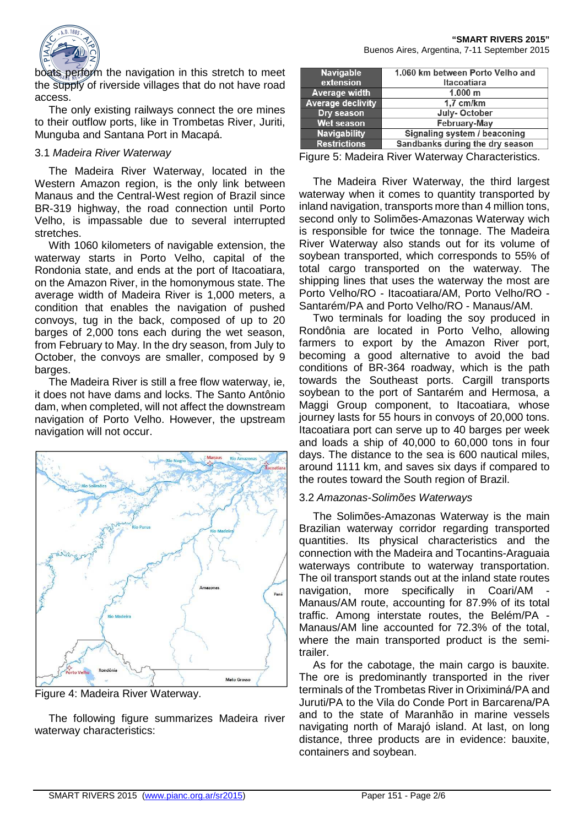

boats perform the navigation in this stretch to meet the supply of riverside villages that do not have road access.

The only existing railways connect the ore mines to their outflow ports, like in Trombetas River, Juriti, Munguba and Santana Port in Macapá.

#### 3.1 Madeira River Waterway

The Madeira River Waterway, located in the Western Amazon region, is the only link between Manaus and the Central-West region of Brazil since BR-319 highway, the road connection until Porto Velho, is impassable due to several interrupted stretches.

With 1060 kilometers of navigable extension, the waterway starts in Porto Velho, capital of the Rondonia state, and ends at the port of Itacoatiara, on the Amazon River, in the homonymous state. The average width of Madeira River is 1,000 meters, a condition that enables the navigation of pushed convoys, tug in the back, composed of up to 20 barges of 2,000 tons each during the wet season, from February to May. In the dry season, from July to October, the convoys are smaller, composed by 9 barges.

The Madeira River is still a free flow waterway, ie, it does not have dams and locks. The Santo Antônio dam, when completed, will not affect the downstream navigation of Porto Velho. However, the upstream navigation will not occur.



Figure 4: Madeira River Waterway.

The following figure summarizes Madeira river waterway characteristics:

| <b>Navigable</b>         | 1.060 km between Porto Velho and |
|--------------------------|----------------------------------|
| extension                | Itacoatiara                      |
| <b>Average width</b>     | 1.000 m                          |
| <b>Average declivity</b> | $1.7$ cm/km                      |
| Dry season               | July-October                     |
| <b>Wet season</b>        | <b>February-May</b>              |
| <b>Navigability</b>      | Signaling system / beaconing     |
| <b>Restrictions</b>      | Sandbanks during the dry season  |

Figure 5: Madeira River Waterway Characteristics.

The Madeira River Waterway, the third largest waterway when it comes to quantity transported by inland navigation, transports more than 4 million tons, second only to Solimões-Amazonas Waterway wich is responsible for twice the tonnage. The Madeira River Waterway also stands out for its volume of soybean transported, which corresponds to 55% of total cargo transported on the waterway. The shipping lines that uses the waterway the most are Porto Velho/RO - Itacoatiara/AM, Porto Velho/RO - Santarém/PA and Porto Velho/RO - Manaus/AM.

Two terminals for loading the soy produced in Rondônia are located in Porto Velho, allowing farmers to export by the Amazon River port, becoming a good alternative to avoid the bad conditions of BR-364 roadway, which is the path towards the Southeast ports. Cargill transports soybean to the port of Santarém and Hermosa, a Maggi Group component, to Itacoatiara, whose journey lasts for 55 hours in convoys of 20,000 tons. Itacoatiara port can serve up to 40 barges per week and loads a ship of 40,000 to 60,000 tons in four days. The distance to the sea is 600 nautical miles, around 1111 km, and saves six days if compared to the routes toward the South region of Brazil.

#### 3.2 Amazonas-Solimões Waterways

The Solimões-Amazonas Waterway is the main Brazilian waterway corridor regarding transported quantities. Its physical characteristics and the connection with the Madeira and Tocantins-Araguaia waterways contribute to waterway transportation. The oil transport stands out at the inland state routes navigation, more specifically in Coari/AM Manaus/AM route, accounting for 87.9% of its total traffic. Among interstate routes, the Belém/PA - Manaus/AM line accounted for 72.3% of the total, where the main transported product is the semitrailer.

As for the cabotage, the main cargo is bauxite. The ore is predominantly transported in the river terminals of the Trombetas River in Oriximiná/PA and Juruti/PA to the Vila do Conde Port in Barcarena/PA and to the state of Maranhão in marine vessels navigating north of Marajó island. At last, on long distance, three products are in evidence: bauxite, containers and soybean.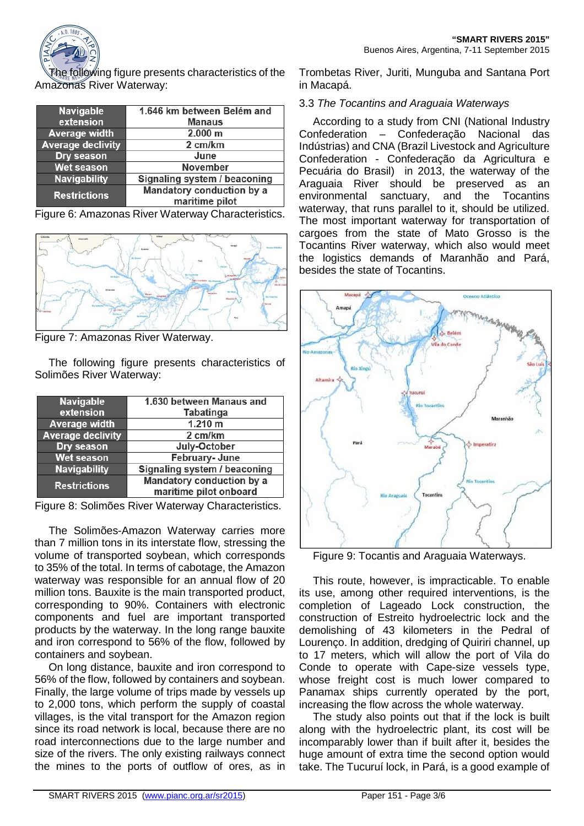

The following figure presents characteristics of the Amazonas River Waterway:

| <b>Navigable</b><br>extension | 1.646 km between Belém and<br><b>Manaus</b> |
|-------------------------------|---------------------------------------------|
| <b>Average width</b>          | 2.000 m                                     |
| <b>Average declivity</b>      | 2 cm/km                                     |
| Dry season                    | June                                        |
| <b>Wet season</b>             | <b>November</b>                             |
| <b>Navigability</b>           | Signaling system / beaconing                |
| <b>Restrictions</b>           | Mandatory conduction by a<br>maritime pilot |

Figure 6: Amazonas River Waterway Characteristics.



Figure 7: Amazonas River Waterway.

The following figure presents characteristics of Solimões River Waterway:

| <b>Navigable</b><br>extension | 1.630 between Manaus and<br><b>Tabatinga</b>        |
|-------------------------------|-----------------------------------------------------|
| <b>Average width</b>          | 1.210 m                                             |
| <b>Average declivity</b>      | 2 cm/km                                             |
| Dry season                    | July-October                                        |
| <b>Wet season</b>             | February-June                                       |
| <b>Navigability</b>           | Signaling system / beaconing                        |
| <b>Restrictions</b>           | Mandatory conduction by a<br>maritime pilot onboard |

Figure 8: Solimões River Waterway Characteristics.

The Solimões-Amazon Waterway carries more than 7 million tons in its interstate flow, stressing the volume of transported soybean, which corresponds to 35% of the total. In terms of cabotage, the Amazon waterway was responsible for an annual flow of 20 million tons. Bauxite is the main transported product, corresponding to 90%. Containers with electronic components and fuel are important transported products by the waterway. In the long range bauxite and iron correspond to 56% of the flow, followed by containers and soybean.

On long distance, bauxite and iron correspond to 56% of the flow, followed by containers and soybean. Finally, the large volume of trips made by vessels up to 2,000 tons, which perform the supply of coastal villages, is the vital transport for the Amazon region since its road network is local, because there are no road interconnections due to the large number and size of the rivers. The only existing railways connect the mines to the ports of outflow of ores, as in

Trombetas River, Juriti, Munguba and Santana Port in Macapá.

## 3.3 The Tocantins and Araguaia Waterways

According to a study from CNI (National Industry Confederation – Confederação Nacional das Indústrias) and CNA (Brazil Livestock and Agriculture Confederation - Confederação da Agricultura e Pecuária do Brasil) in 2013, the waterway of the Araguaia River should be preserved as an environmental sanctuary, and the Tocantins waterway, that runs parallel to it, should be utilized. The most important waterway for transportation of cargoes from the state of Mato Grosso is the Tocantins River waterway, which also would meet the logistics demands of Maranhão and Pará, besides the state of Tocantins.



Figure 9: Tocantis and Araguaia Waterways.

This route, however, is impracticable. To enable its use, among other required interventions, is the completion of Lageado Lock construction, the construction of Estreito hydroelectric lock and the demolishing of 43 kilometers in the Pedral of Lourenço. In addition, dredging of Quiriri channel, up to 17 meters, which will allow the port of Vila do Conde to operate with Cape-size vessels type, whose freight cost is much lower compared to Panamax ships currently operated by the port, increasing the flow across the whole waterway.

The study also points out that if the lock is built along with the hydroelectric plant, its cost will be incomparably lower than if built after it, besides the huge amount of extra time the second option would take. The Tucuruí lock, in Pará, is a good example of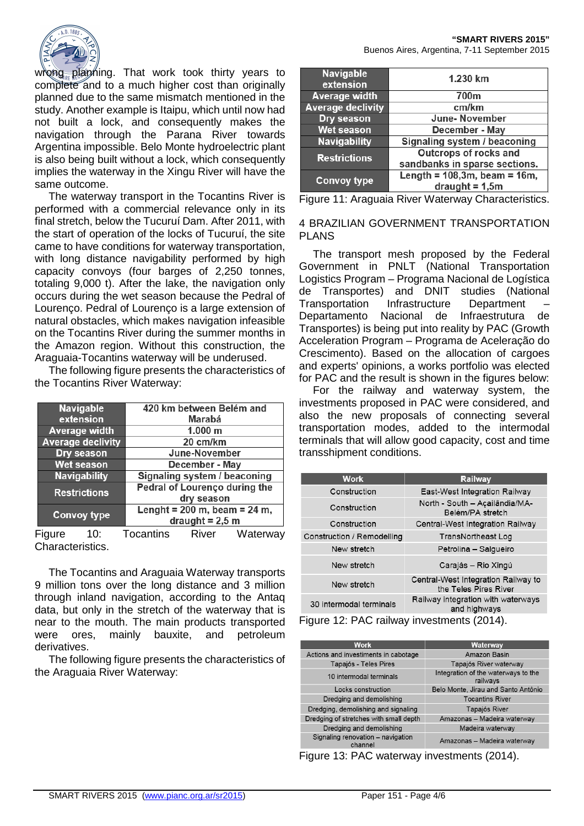

wrong planning. That work took thirty years to complete and to a much higher cost than originally planned due to the same mismatch mentioned in the study. Another example is Itaipu, which until now had not built a lock, and consequently makes the navigation through the Parana River towards Argentina impossible. Belo Monte hydroelectric plant is also being built without a lock, which consequently implies the waterway in the Xingu River will have the same outcome.

The waterway transport in the Tocantins River is performed with a commercial relevance only in its final stretch, below the Tucuruí Dam. After 2011, with the start of operation of the locks of Tucuruí, the site came to have conditions for waterway transportation, with long distance navigability performed by high capacity convoys (four barges of 2,250 tonnes, totaling 9,000 t). After the lake, the navigation only occurs during the wet season because the Pedral of Lourenço. Pedral of Lourenço is a large extension of natural obstacles, which makes navigation infeasible on the Tocantins River during the summer months in the Amazon region. Without this construction, the Araguaia-Tocantins waterway will be underused.

The following figure presents the characteristics of the Tocantins River Waterway:

| <b>Navigable</b>         | 420 km between Belém and         |
|--------------------------|----------------------------------|
| extension                | Marabá                           |
| <b>Average width</b>     | 1.000 m                          |
| <b>Average declivity</b> | 20 cm/km                         |
| Dry season               | June-November                    |
| <b>Wet season</b>        | December - May                   |
| <b>Navigability</b>      | Signaling system / beaconing     |
| <b>Restrictions</b>      | Pedral of Lourenço during the    |
|                          | dry season                       |
| <b>Convoy type</b>       | Lenght = $200$ m, beam = $24$ m, |
|                          | draught = $2,5$ m                |

Figure 10: Tocantins River Waterway Characteristics.

The Tocantins and Araguaia Waterway transports 9 million tons over the long distance and 3 million through inland navigation, according to the Antaq data, but only in the stretch of the waterway that is near to the mouth. The main products transported were ores, mainly bauxite, and petroleum derivatives.

The following figure presents the characteristics of the Araguaia River Waterway:

| <b>Navigable</b><br>extension | 1.230 km                           |
|-------------------------------|------------------------------------|
| <b>Average width</b>          | 700m                               |
| <b>Average declivity</b>      | cm/km                              |
| Dry season                    | <b>June-November</b>               |
| <b>Wet season</b>             | December - May                     |
| <b>Navigability</b>           | Signaling system / beaconing       |
| <b>Restrictions</b>           | <b>Outcrops of rocks and</b>       |
|                               | sandbanks in sparse sections.      |
| <b>Convoy type</b>            | Length = $108,3m$ , beam = $16m$ , |
|                               | $draudht = 1,5m$                   |

Figure 11: Araguaia River Waterway Characteristics.

#### 4 BRAZILIAN GOVERNMENT TRANSPORTATION PLANS

The transport mesh proposed by the Federal Government in PNLT (National Transportation Logistics Program – Programa Nacional de Logística de Transportes) and DNIT studies (National Transportation Infrastructure Department – Departamento Nacional de Infraestrutura de Transportes) is being put into reality by PAC (Growth Acceleration Program – Programa de Aceleração do Crescimento). Based on the allocation of cargoes and experts' opinions, a works portfolio was elected for PAC and the result is shown in the figures below:

For the railway and waterway system, the investments proposed in PAC were considered, and also the new proposals of connecting several transportation modes, added to the intermodal terminals that will allow good capacity, cost and time transshipment conditions.

| <b>Work</b>                | <b>Railway</b>                                               |  |
|----------------------------|--------------------------------------------------------------|--|
| Construction               | East-West Integration Railway                                |  |
| Construction               | North - South - Açailândia/MA-<br>Belém/PA stretch           |  |
| Construction               | Central-West Integration Railway                             |  |
| Construction / Remodelling | TransNortheast Log                                           |  |
| New stretch                | Petrolina - Salgueiro                                        |  |
| New stretch                | Carajás – Rio Xingú                                          |  |
| New stretch                | Central-West Integration Railway to<br>the Teles Pires River |  |
| 30 intermodal terminals    | Railway integration with waterways<br>and highways           |  |

Figure 12: PAC railway investments (2014).

| Work                                         | Waterway                                        |
|----------------------------------------------|-------------------------------------------------|
| Actions and investiments in cabotage         | Amazon Basin                                    |
| Tapajós - Teles Pires                        | Tapajós River waterway                          |
| 10 intermodal terminals                      | Integration of the waterways to the<br>railways |
| Locks construction                           | Belo Monte, Jirau and Santo Antônio             |
| Dredging and demolishing                     | <b>Tocantins River</b>                          |
| Dredging, demolishing and signaling          | Tapajós River                                   |
| Dredging of stretches with small depth       | Amazonas - Madeira waterway                     |
| Dredging and demolishing                     | Madeira waterway                                |
| Signaling renovation - navigation<br>channel | Amazonas - Madeira waterway                     |

Figure 13: PAC waterway investments (2014).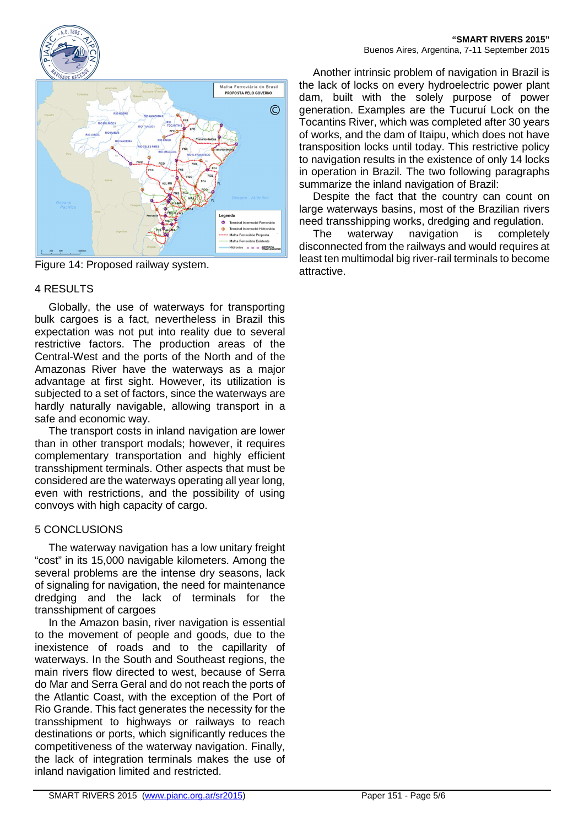



Figure 14: Proposed railway system.

## 4 RESULTS

Globally, the use of waterways for transporting bulk cargoes is a fact, nevertheless in Brazil this expectation was not put into reality due to several restrictive factors. The production areas of the Central-West and the ports of the North and of the Amazonas River have the waterways as a major advantage at first sight. However, its utilization is subjected to a set of factors, since the waterways are hardly naturally navigable, allowing transport in a safe and economic way.

The transport costs in inland navigation are lower than in other transport modals; however, it requires complementary transportation and highly efficient transshipment terminals. Other aspects that must be considered are the waterways operating all year long, even with restrictions, and the possibility of using convoys with high capacity of cargo.

# 5 CONCLUSIONS

The waterway navigation has a low unitary freight "cost" in its 15,000 navigable kilometers. Among the several problems are the intense dry seasons, lack of signaling for navigation, the need for maintenance dredging and the lack of terminals for the transshipment of cargoes

In the Amazon basin, river navigation is essential to the movement of people and goods, due to the inexistence of roads and to the capillarity of waterways. In the South and Southeast regions, the main rivers flow directed to west, because of Serra do Mar and Serra Geral and do not reach the ports of the Atlantic Coast, with the exception of the Port of Rio Grande. This fact generates the necessity for the transshipment to highways or railways to reach destinations or ports, which significantly reduces the competitiveness of the waterway navigation. Finally, the lack of integration terminals makes the use of inland navigation limited and restricted.

Another intrinsic problem of navigation in Brazil is the lack of locks on every hydroelectric power plant dam, built with the solely purpose of power generation. Examples are the Tucuruí Lock on the Tocantins River, which was completed after 30 years of works, and the dam of Itaipu, which does not have transposition locks until today. This restrictive policy to navigation results in the existence of only 14 locks in operation in Brazil. The two following paragraphs summarize the inland navigation of Brazil:

Despite the fact that the country can count on large waterways basins, most of the Brazilian rivers need transshipping works, dredging and regulation.

The waterway navigation is completely disconnected from the railways and would requires at least ten multimodal big river-rail terminals to become attractive.